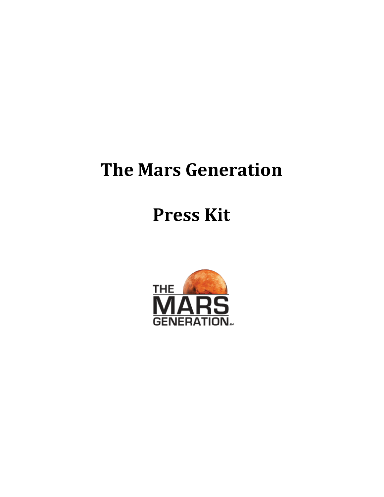# **The Mars Generation**

# **Press Kit**

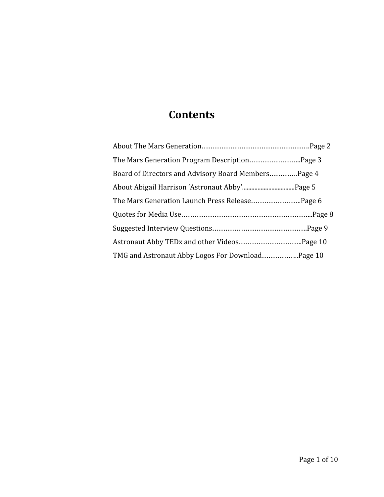# **Contents**

| Board of Directors and Advisory Board Members Page 4 |  |
|------------------------------------------------------|--|
|                                                      |  |
|                                                      |  |
|                                                      |  |
|                                                      |  |
|                                                      |  |
|                                                      |  |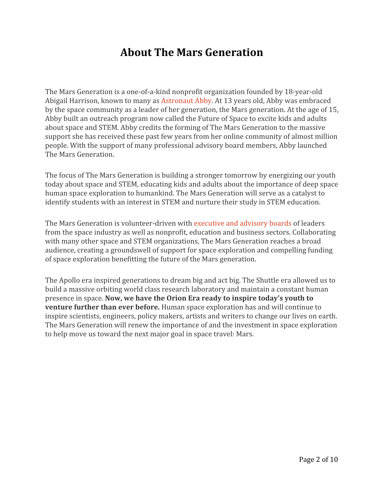### **About The Mars Generation**

The Mars Generation is a one-of-a-kind nonprofit organization founded by 18-year-old Abigail Harrison, known to many as [Astronaut Abby.](http://astronautabby.com/) At 13 years old, Abby was embraced by the space community as a leader of her generation, the Mars generation. At the age of 15, Abby built an outreach program now called the Future of Space to excite kids and adults about space and STEM. Abby credits the forming of The Mars Generation to the massive support she has received these past few years from her online community of almost million people. With the support of many professional advisory board members, Abby launched The Mars Generation.

The focus of The Mars Generation is building a stronger tomorrow by energizing our youth today about space and STEM, educating kids and adults about the importance of deep space human space exploration to humankind. The Mars Generation will serve as a catalyst to identify students with an interest in STEM and nurture their study in STEM education.

The Mars Generation is volunteer-driven with [executive and advisory boards](http://themarsgeneration.org/about/team/) of leaders from the space industry as well as nonprofit, education and business sectors. Collaborating with many other space and STEM organizations, The Mars Generation reaches a broad audience, creating a groundswell of support for space exploration and compelling funding of space exploration benefitting the future of the Mars generation.

The Apollo era inspired generations to dream big and act big. The Shuttle era allowed us to build a massive orbiting world class research laboratory and maintain a constant human presence in space. **Now, we have the Orion Era ready to inspire today's youth to venture further than ever before.** Human space exploration has and will continue to inspire scientists, engineers, policy makers, artists and writers to change our lives on earth. The Mars Generation will renew the importance of and the investment in space exploration to help move us toward the next major goal in space travel: Mars.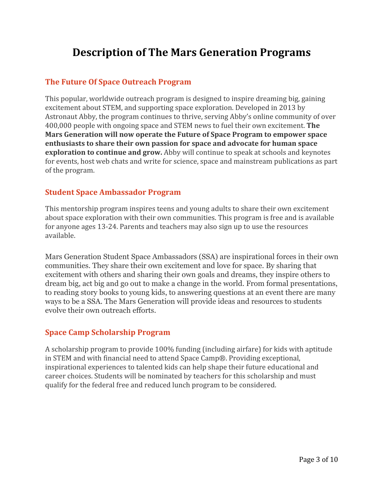### **Description of The Mars Generation Programs**

#### **The Future Of Space [Outreach](http://themarsgeneration.org/future-of-space-outreach) Program**

This popular, worldwide outreach program is designed to inspire dreaming big, gaining excitement about STEM, and supporting space exploration. Developed in 2013 by Astronaut Abby, the program continues to thrive, serving Abby's online community of over 400,000 people with ongoing space and STEM news to fuel their own excitement. **The Mars Generation will now operate the Future of Space Program to empower space enthusiasts to share their own passion for space and advocate for human space exploration to continue and grow.** Abby will continue to speak at schools and keynotes for events, host web chats and write for science, space and mainstream publications as part of the program.

#### **Student Space [Ambassador](http://themarsgeneration.org/student-space-ambassador/) Program**

This mentorship program inspires teens and young adults to share their own excitement about space exploration with their own communities. This program is free and is available for anyone ages 13-24. Parents and teachers may also sign up to use the resources available.

Mars Generation Student Space Ambassadors (SSA) are inspirational forces in their own communities. They share their own excitement and love for space. By sharing that excitement with others and sharing their own goals and dreams, they inspire others to dream big, act big and go out to make a change in the world. From formal presentations, to reading story books to young kids, to answering questions at an event there are many ways to be a SSA. The Mars Generation will provide ideas and resources to students evolve their own outreach efforts.

#### **Space Camp [Scholarship](http://themarsgeneration.org/space-camp-scholarship) Program**

A scholarship program to provide 100% funding (including airfare) for kids with aptitude in STEM and with financial need to attend Space Camp®. Providing exceptional, inspirational experiences to talented kids can help shape their future educational and career choices. Students will be nominated by teachers for this scholarship and must qualify for the federal free and reduced lunch program to be considered.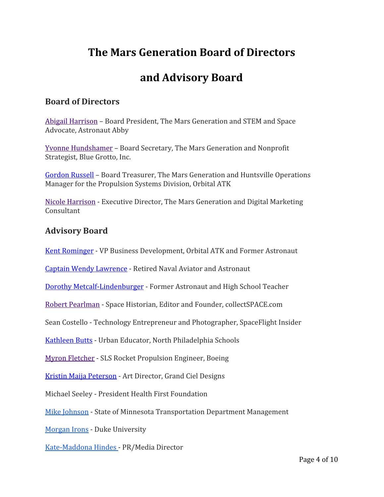## **The Mars Generation Board of Directors**

## **and Advisory Board**

### **Board of Directors**

[Abigail Harrison](http://themarsgeneration.org/abigail-harrison/) – Board President, The Mars Generation and STEM and Space Advocate, Astronaut Abby

[Yvonne Hundshamer](http://themarsgeneration.org/yvonne-hundshamer/) – Board Secretary, The Mars Generation and Nonprofit Strategist, Blue Grotto, Inc.

[Gordon Russell](http://themarsgeneration.org/gordon-russell) – Board Treasurer, The Mars Generation and Huntsville Operations Manager for the Propulsion Systems Division, Orbital ATK

[Nicole Harrison](http://themarsgeneration.org/nicole-harrison/) - Executive Director, The Mars Generation and Digital Marketing Consultant

### **Advisory Board**

[Kent Rominger](http://themarsgeneration.org/Kent-Rominger) - VP Business Development, Orbital ATK and Former Astronaut

[Captain Wendy Lawrence](http://themarsgeneration.org/captain-wendy-lawrence/) - Retired Naval Aviator and Astronaut

[Dorothy Metcalf-Lindenburger](http://themarsgeneration.org/dorothy-dottie-metcalf-lindenburger) - Former Astronaut and High School Teacher

[Robert Pearlman](http://themarsgeneration.org/robert-pearlman/) - Space Historian, Editor and Founder, collectSPACE.com

Sean Costello - Technology Entrepreneur and Photographer, SpaceFlight Insider

[Kathleen Butts](http://themarsgeneration.org/kathleen-butts/) - Urban Educator, North Philadelphia Schools

[Myron Fletcher](http://themarsgeneration.org/myron-fletcher/) - SLS Rocket Propulsion Engineer, Boeing

[Kristin Maija Peterson](http://themarsgeneration.org/kristin-maija-peterson) - Art Director, Grand Ciel Designs

Michael Seeley - President Health First Foundation

[Mike Johnson](http://www.themarsgeneration.org/programs/student-space-ambassador/) - State of Minnesota Transportation Department Management

[Morgan Irons](http://www.themarsgeneration.org/programs/student-space-ambassador/) - Duke University

[Kate-Maddona Hindes -](http://themarsgeneration.org/kate-madonna-hindes/) PR/Media Director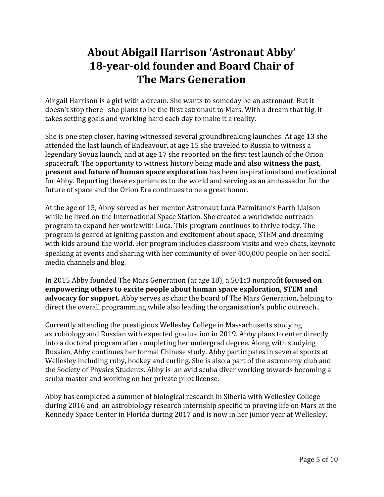# **About Abigail Harrison 'Astronaut Abby' 18-year-old founder and Board Chair of The Mars Generation**

Abigail Harrison is a girl with a dream. She wants to someday be an astronaut. But it doesn't stop there--she plans to be the first astronaut to Mars. With a dream that big, it takes setting goals and working hard each day to make it a reality.

She is one step closer, having witnessed several groundbreaking launches: At age 13 she attended the last launch of Endeavour, at age 15 she traveled to Russia to witness a legendary Soyuz launch, and at age 17 she reported on the first test launch of the Orion spacecraft. The opportunity to witness history being made and **also witness the past, present and future of human space exploration** has been inspirational and motivational for Abby. Reporting these experiences to the world and serving as an ambassador for the future of space and the Orion Era continues to be a great honor.

At the age of 15, Abby served as her mentor Astronaut Luca Parmitano's Earth Liaison while he lived on the International Space Station. She created a worldwide outreach program to expand her work with Luca. This program continues to thrive today. The program is geared at igniting passion and excitement about space, STEM and dreaming with kids around the world. Her program includes classroom visits and web chats, keynote speaking at events and sharing with her community of over 400,000 people on her social media channels and blog.

In 2015 Abby founded The Mars Generation (at age 18), a 501c3 nonprofit **focused on empowering others to excite people about human space exploration, STEM and advocacy for support.** Abby serves as chair the board of The Mars Generation, helping to direct the overall programming while also leading the organization's public outreach..

Currently attending the prestigious Wellesley College in Massachusetts studying astrobiology and Russian with expected graduation in 2019. Abby plans to enter directly into a doctoral program after completing her undergrad degree. Along with studying Russian, Abby continues her formal Chinese study. Abby participates in several sports at Wellesley including ruby, hockey and curling. She is also a part of the astronomy club and the Society of Physics Students. Abby is an avid scuba diver working towards becoming a scuba master and working on her private pilot license.

Abby has completed a summer of biological research in Siberia with Wellesley College during 2016 and an astrobiology research internship specific to proving life on Mars at the Kennedy Space Center in Florida during 2017 and is now in her junior year at Wellesley.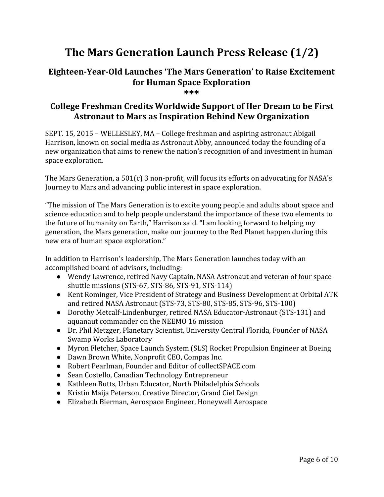# **The Mars Generation Launch Press Release (1/2)**

### **Eighteen-Year-Old Launches 'The Mars Generation' to Raise Excitement for Human Space Exploration**

**\*\*\***

### **College Freshman Credits Worldwide Support of Her Dream to be First Astronaut to Mars as Inspiration Behind New Organization**

SEPT. 15, 2015 – WELLESLEY, MA – College freshman and aspiring astronaut Abigail Harrison, known on social media as Astronaut Abby, announced today the founding of a new organization that aims to renew the nation's recognition of and investment in human space exploration.

The Mars Generation, a 501(c) 3 non-profit, will focus its efforts on advocating for NASA's Journey to Mars and advancing public interest in space exploration.

"The mission of The Mars Generation is to excite young people and adults about space and science education and to help people understand the importance of these two elements to the future of humanity on Earth," Harrison said. "I am looking forward to helping my generation, the Mars generation, make our journey to the Red Planet happen during this new era of human space exploration."

In addition to Harrison's leadership, The Mars Generation launches today with an accomplished board of advisors, including:

- Wendy Lawrence, retired Navy Captain, NASA Astronaut and veteran of four space shuttle missions (STS-67, STS-86, STS-91, STS-114)
- Kent Rominger, Vice President of Strategy and Business Development at Orbital ATK and retired NASA Astronaut (STS-73, STS-80, STS-85, STS-96, STS-100)
- Dorothy Metcalf-Lindenburger, retired NASA Educator-Astronaut (STS-131) and aquanaut commander on the NEEMO 16 mission
- Dr. Phil Metzger, Planetary Scientist, University Central Florida, Founder of NASA Swamp Works Laboratory
- Myron Fletcher, Space Launch System (SLS) Rocket Propulsion Engineer at Boeing
- Dawn Brown White, Nonprofit CEO, Compas Inc.
- Robert Pearlman, Founder and Editor of collectSPACE.com
- Sean Costello, Canadian Technology Entrepreneur
- Kathleen Butts, Urban Educator, North Philadelphia Schools
- Kristin Maija Peterson, Creative Director, Grand Ciel Design
- Elizabeth Bierman, Aerospace Engineer, Honeywell Aerospace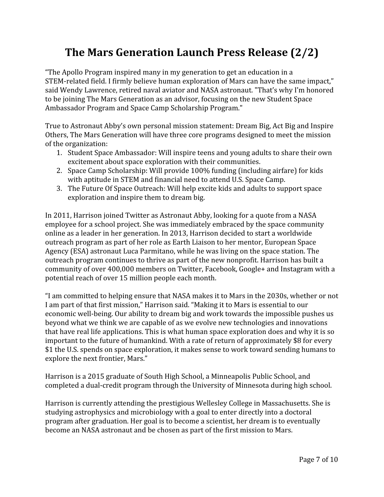# **The Mars Generation Launch Press Release (2/2)**

"The Apollo Program inspired many in my generation to get an education in a STEM-related field. I firmly believe human exploration of Mars can have the same impact," said Wendy Lawrence, retired naval aviator and NASA astronaut. "That's why I'm honored to be joining The Mars Generation as an advisor, focusing on the new Student Space Ambassador Program and Space Camp Scholarship Program."

True to Astronaut Abby's own personal mission statement: Dream Big, Act Big and Inspire Others, The Mars Generation will have three core programs designed to meet the mission of the organization:

- 1. Student Space Ambassador: Will inspire teens and young adults to share their own excitement about space exploration with their communities.
- 2. Space Camp Scholarship: Will provide 100% funding (including airfare) for kids with aptitude in STEM and financial need to attend U.S. Space Camp.
- 3. The Future Of Space Outreach: Will help excite kids and adults to support space exploration and inspire them to dream big.

In 2011, Harrison joined Twitter as Astronaut Abby, looking for a quote from a NASA employee for a school project. She was immediately embraced by the space community online as a leader in her generation. In 2013, Harrison decided to start a worldwide outreach program as part of her role as Earth Liaison to her mentor, European Space Agency (ESA) astronaut Luca Parmitano, while he was living on the space station. The outreach program continues to thrive as part of the new nonprofit. Harrison has built a community of over 400,000 members on Twitter, Facebook, Google+ and Instagram with a potential reach of over 15 million people each month.

"I am committed to helping ensure that NASA makes it to Mars in the 2030s, whether or not I am part of that first mission," Harrison said. "Making it to Mars is essential to our economic well-being. Our ability to dream big and work towards the impossible pushes us beyond what we think we are capable of as we evolve new technologies and innovations that have real life applications. This is what human space exploration does and why it is so important to the future of humankind. With a rate of return of approximately \$8 for every \$1 the U.S. spends on space exploration, it makes sense to work toward sending humans to explore the next frontier, Mars."

Harrison is a 2015 graduate of South High School, a Minneapolis Public School, and completed a dual-credit program through the University of Minnesota during high school.

Harrison is currently attending the prestigious Wellesley College in Massachusetts. She is studying astrophysics and microbiology with a goal to enter directly into a doctoral program after graduation. Her goal is to become a scientist, her dream is to eventually become an NASA astronaut and be chosen as part of the first mission to Mars.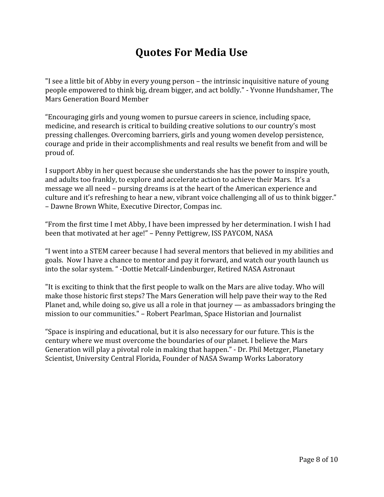## **Quotes For Media Use**

"I see a little bit of Abby in every young person – the intrinsic inquisitive nature of young people empowered to think big, dream bigger, and act boldly." - Yvonne Hundshamer, The Mars Generation Board Member

"Encouraging girls and young women to pursue careers in science, including space, medicine, and research is critical to building creative solutions to our country's most pressing challenges. Overcoming barriers, girls and young women develop persistence, courage and pride in their accomplishments and real results we benefit from and will be proud of.

I support Abby in her quest because she understands she has the power to inspire youth, and adults too frankly, to explore and accelerate action to achieve their Mars. It's a message we all need – pursing dreams is at the heart of the American experience and culture and it's refreshing to hear a new, vibrant voice challenging all of us to think bigger." – Dawne Brown White, Executive Director, Compas inc.

"From the first time I met Abby, I have been impressed by her determination. I wish I had been that motivated at her age!" – Penny Pettigrew, ISS PAYCOM, NASA

"I went into a STEM career because I had several mentors that believed in my abilities and goals. Now I have a chance to mentor and pay it forward, and watch our youth launch us into the solar system. " -Dottie Metcalf-Lindenburger, Retired NASA Astronaut

"It is exciting to think that the first people to walk on the Mars are alive today. Who will make those historic first steps? The Mars Generation will help pave their way to the Red Planet and, while doing so, give us all a role in that journey — as ambassadors bringing the mission to our communities." – Robert Pearlman, Space Historian and Journalist

"Space is inspiring and educational, but it is also necessary for our future. This is the century where we must overcome the boundaries of our planet. I believe the Mars Generation will play a pivotal role in making that happen." - Dr. Phil Metzger, Planetary Scientist, University Central Florida, Founder of NASA Swamp Works Laboratory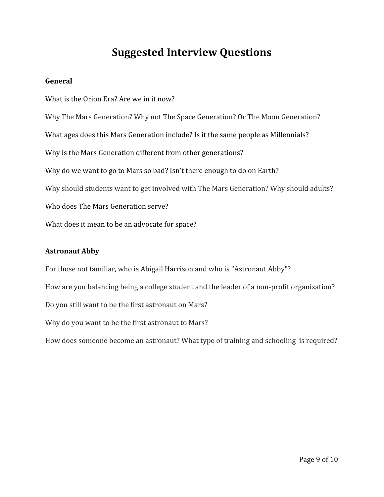### **Suggested Interview Questions**

#### **General**

What is the Orion Era? Are we in it now? Why The Mars Generation? Why not The Space Generation? Or The Moon Generation? What ages does this Mars Generation include? Is it the same people as Millennials? Why is the Mars Generation different from other generations? Why do we want to go to Mars so bad? Isn't there enough to do on Earth? Why should students want to get involved with The Mars Generation? Why should adults? Who does The Mars Generation serve? What does it mean to be an advocate for space?

#### **Astronaut Abby**

For those not familiar, who is Abigail Harrison and who is "Astronaut Abby"? How are you balancing being a college student and the leader of a non-profit organization? Do you still want to be the first astronaut on Mars? Why do you want to be the first astronaut to Mars? How does someone become an astronaut? What type of training and schooling is required?